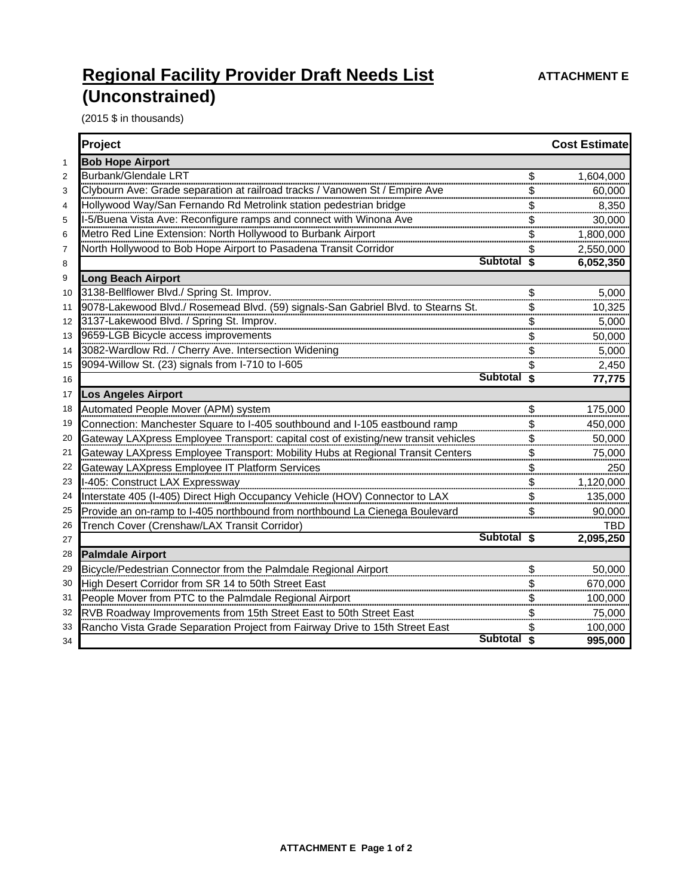## **Regional Facility Provider Draft Needs List <b>ATTACHMENT E (Unconstrained)**

(2015 \$ in thousands)

|                | Project                                                                            |     | <b>Cost Estimate</b> |
|----------------|------------------------------------------------------------------------------------|-----|----------------------|
| $\mathbf{1}$   | <b>Bob Hope Airport</b>                                                            |     |                      |
| $\overline{2}$ | <b>Burbank/Glendale LRT</b>                                                        | \$  | 1,604,000            |
| 3              | Clybourn Ave: Grade separation at railroad tracks / Vanowen St / Empire Ave        |     | 60,000               |
| 4              | Hollywood Way/San Fernando Rd Metrolink station pedestrian bridge                  |     | 8,350                |
| 5              | I-5/Buena Vista Ave: Reconfigure ramps and connect with Winona Ave                 |     | 30,000               |
| 6              | Metro Red Line Extension: North Hollywood to Burbank Airport                       | \$  | 1,800,000            |
| 7              | North Hollywood to Bob Hope Airport to Pasadena Transit Corridor                   |     | 2,550,000            |
| 8              | Subtotal <sub>s</sub>                                                              |     | 6,052,350            |
| 9              | <b>Long Beach Airport</b>                                                          |     |                      |
| 10             | 3138-Bellflower Blvd./ Spring St. Improv.                                          | \$  | 5,000                |
| 11             | 9078-Lakewood Blvd./ Rosemead Blvd. (59) signals-San Gabriel Blvd. to Stearns St.  |     | 10,325               |
| 12             | 3137-Lakewood Blvd. / Spring St. Improv.                                           |     | 5,000                |
| 13             | 9659-LGB Bicycle access improvements                                               |     | 50,000               |
| 14             | 3082-Wardlow Rd. / Cherry Ave. Intersection Widening                               |     | 5,000                |
| 15             | 9094-Willow St. (23) signals from I-710 to I-605                                   |     | 2,450                |
| 16             | Subtotal \$                                                                        |     | 77,775               |
| 17             | <b>Los Angeles Airport</b>                                                         |     |                      |
| 18             | Automated People Mover (APM) system                                                | \$  | 175,000              |
| 19             | Connection: Manchester Square to I-405 southbound and I-105 eastbound ramp         |     | 450,000              |
| 20             | Gateway LAXpress Employee Transport: capital cost of existing/new transit vehicles | \$  | 50,000               |
| 21             | Gateway LAXpress Employee Transport: Mobility Hubs at Regional Transit Centers     |     | 75,000               |
| 22             | Gateway LAXpress Employee IT Platform Services                                     |     | 250                  |
| 23             | I-405: Construct LAX Expressway                                                    | \$  | 1,120,000            |
| 24             | Interstate 405 (I-405) Direct High Occupancy Vehicle (HOV) Connector to LAX        |     | 135,000              |
| 25             | Provide an on-ramp to I-405 northbound from northbound La Cienega Boulevard        | \$. | 90,000               |
| 26             | Trench Cover (Crenshaw/LAX Transit Corridor)                                       |     | <b>TBD</b>           |
| 27             | Subtotal \$                                                                        |     | 2,095,250            |
| 28             | <b>Palmdale Airport</b>                                                            |     |                      |
| 29             | Bicycle/Pedestrian Connector from the Palmdale Regional Airport                    |     | 50,000               |
| 30             | High Desert Corridor from SR 14 to 50th Street East                                |     | 670,000              |
| 31             | People Mover from PTC to the Palmdale Regional Airport                             |     | 100,000              |
| 32             | RVB Roadway Improvements from 15th Street East to 50th Street East                 |     | 75,000               |
| 33             | Rancho Vista Grade Separation Project from Fairway Drive to 15th Street East       |     | 100,000              |
| 34             | Subtotal \$                                                                        |     | 995,000              |